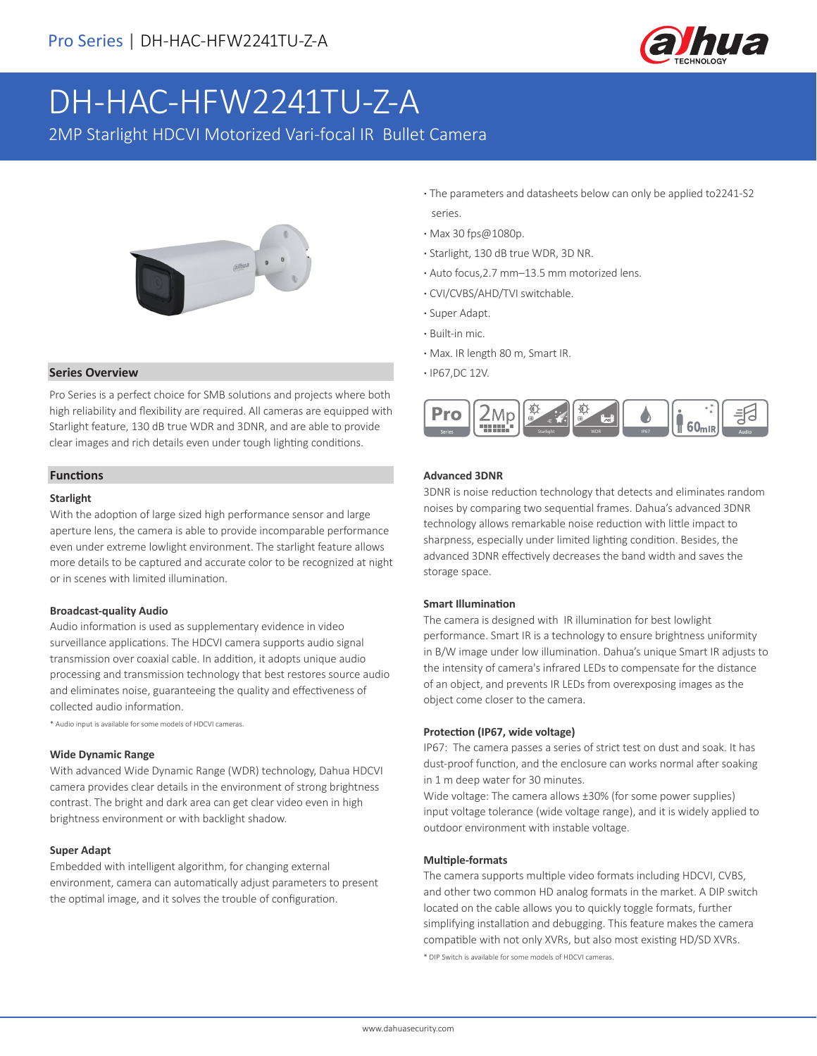

# DH-HAC-HFW2241TU-Z-A

2MP Starlight HDCVI Motorized Vari-focal IR Bullet Camera



#### **Series Overview · IP67,DC 12V.**

Pro Series is a perfect choice for SMB solutions and projects where both high reliability and flexibility are required. All cameras are equipped with Starlight feature, 130 dB true WDR and 3DNR, and are able to provide clear images and rich details even under tough lighting conditions.

#### **Functions**

#### **Starlight**

With the adoption of large sized high performance sensor and large aperture lens, the camera is able to provide incomparable performance even under extreme lowlight environment. The starlight feature allows more details to be captured and accurate color to be recognized at night or in scenes with limited illumination.

#### **Broadcast-quality Audio**

Audio information is used as supplementary evidence in video surveillance applications. The HDCVI camera supports audio signal transmission over coaxial cable. In addition, it adopts unique audio processing and transmission technology that best restores source audio and eliminates noise, guaranteeing the quality and effectiveness of collected audio information.

\* Audio input is available for some models of HDCVI cameras.

#### **Wide Dynamic Range**

With advanced Wide Dynamic Range (WDR) technology, Dahua HDCVI camera provides clear details in the environment of strong brightness contrast. The bright and dark area can get clear video even in high brightness environment or with backlight shadow.

#### **Super Adapt**

Embedded with intelligent algorithm, for changing external environment, camera can automatically adjust parameters to present the optimal image, and it solves the trouble of configuration.

- **·** The parameters and datasheets below can only be applied to2241-S2 series.
- **·** Max 30 fps@1080p.
- **·** Starlight, 130 dB true WDR, 3D NR.
- **·** Auto focus,2.7 mm–13.5 mm motorized lens.
- **·** CVI/CVBS/AHD/TVI switchable.
- **·** Super Adapt.
- **·** Built-in mic.
- **·** Max. IR length 80 m, Smart IR.
- 



#### **Advanced 3DNR**

3DNR is noise reduction technology that detects and eliminates random noises by comparing two sequential frames. Dahua's advanced 3DNR technology allows remarkable noise reduction with little impact to sharpness, especially under limited lighting condition. Besides, the advanced 3DNR effectively decreases the band width and saves the storage space.

#### **Smart Illumination**

The camera is designed with IR illumination for best lowlight performance. Smart IR is a technology to ensure brightness uniformity in B/W image under low illumination. Dahua's unique Smart IR adjusts to the intensity of camera's infrared LEDs to compensate for the distance of an object, and prevents IR LEDs from overexposing images as the object come closer to the camera.

#### **Protection (IP67, wide voltage)**

IP67: The camera passes a series of strict test on dust and soak. It has dust-proof function, and the enclosure can works normal after soaking in 1 m deep water for 30 minutes.

Wide voltage: The camera allows ±30% (for some power supplies) input voltage tolerance (wide voltage range), and it is widely applied to outdoor environment with instable voltage.

#### **Multiple-formats**

The camera supports multiple video formats including HDCVI, CVBS, and other two common HD analog formats in the market. A DIP switch located on the cable allows you to quickly toggle formats, further simplifying installation and debugging. This feature makes the camera compatible with not only XVRs, but also most existing HD/SD XVRs. \* DIP Switch is available for some models of HDCVI cameras.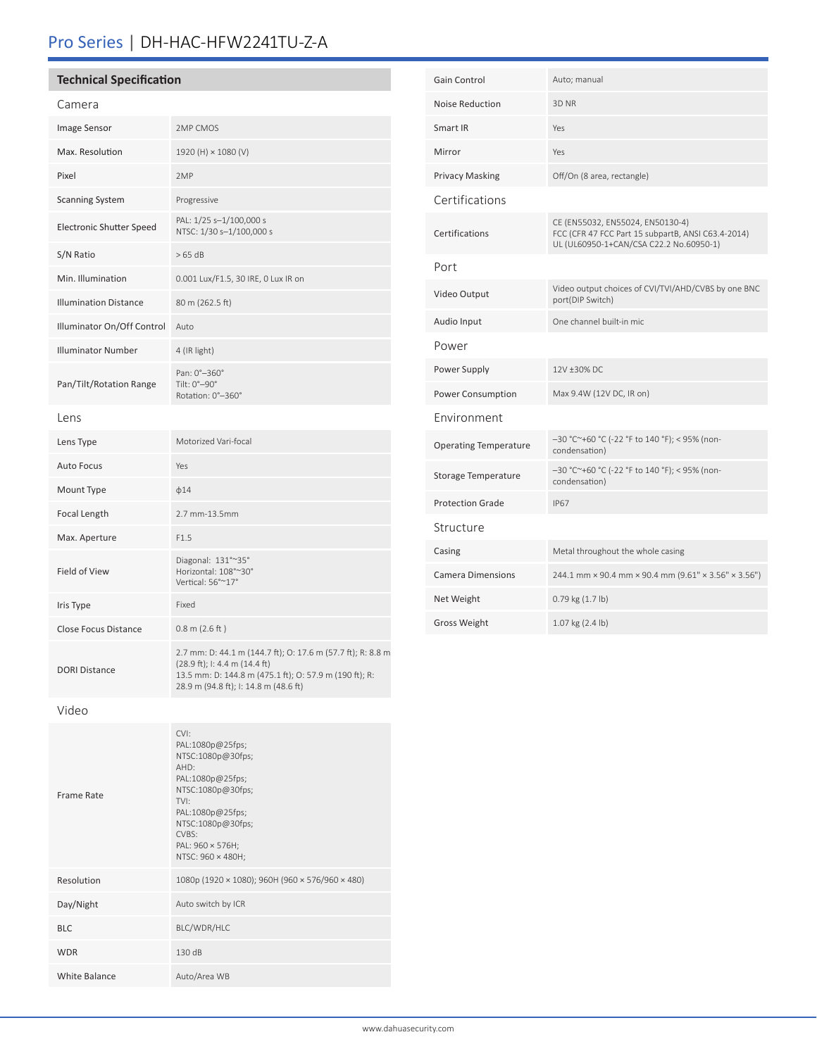## Pro Series | DH-HAC-HFW2241TU-Z-A

| <b>Technical Specification</b>  |                                                                 | Gain Control                 | Auto; manual                                                                                                                      |
|---------------------------------|-----------------------------------------------------------------|------------------------------|-----------------------------------------------------------------------------------------------------------------------------------|
| Camera                          |                                                                 | Noise Reduction              | 3D <sub>NR</sub>                                                                                                                  |
| Image Sensor                    | 2MP CMOS                                                        | Smart IR                     | Yes                                                                                                                               |
| Max. Resolution                 | 1920 (H) × 1080 (V)                                             | Mirror                       | Yes                                                                                                                               |
| Pixel                           | 2MP                                                             | <b>Privacy Masking</b>       | Off/On (8 area, rectangle)                                                                                                        |
| <b>Scanning System</b>          | Progressive                                                     | Certifications               |                                                                                                                                   |
| <b>Electronic Shutter Speed</b> | PAL: 1/25 s-1/100,000 s<br>NTSC: 1/30 s-1/100,000 s             | Certifications               | CE (EN55032, EN55024, EN50130-4)<br>FCC (CFR 47 FCC Part 15 subpartB, ANSI C63.4-2014)<br>UL (UL60950-1+CAN/CSA C22.2 No.60950-1) |
| S/N Ratio                       | >65 dB                                                          | Port                         |                                                                                                                                   |
| Min. Illumination               | 0.001 Lux/F1.5, 30 IRE, 0 Lux IR on                             |                              |                                                                                                                                   |
| <b>Illumination Distance</b>    | 80 m (262.5 ft)                                                 | Video Output                 | Video output choices of CVI/TVI/AHD/CVBS by one BNC<br>port(DIP Switch)                                                           |
| Illuminator On/Off Control      | Auto                                                            | Audio Input                  | One channel built-in mic                                                                                                          |
| <b>Illuminator Number</b>       | 4 (IR light)                                                    | Power                        |                                                                                                                                   |
|                                 | Pan: 0°-360°<br>Tilt: 0°-90°<br>Rotation: 0°-360°               | Power Supply                 | 12V ±30% DC                                                                                                                       |
| Pan/Tilt/Rotation Range         |                                                                 | Power Consumption            | Max 9.4W (12V DC, IR on)                                                                                                          |
| Lens                            |                                                                 | Environment                  |                                                                                                                                   |
| Lens Type                       | Motorized Vari-focal                                            | <b>Operating Temperature</b> | -30 °C~+60 °C (-22 °F to 140 °F); < 95% (non-<br>condensation)                                                                    |
| <b>Auto Focus</b>               | Yes                                                             | <b>Storage Temperature</b>   | -30 °C~+60 °C (-22 °F to 140 °F); < 95% (non-                                                                                     |
| Mount Type                      | $\phi$ 14                                                       |                              | condensation)                                                                                                                     |
| Focal Length                    | 2.7 mm-13.5mm                                                   | <b>Protection Grade</b>      | <b>IP67</b>                                                                                                                       |
| Max. Aperture                   | F1.5                                                            | Structure                    |                                                                                                                                   |
| Field of View                   | Diagonal: 131°~35°<br>Horizontal: 108°~30°<br>Vertical: 56°~17° | Casing                       | Metal throughout the whole casing                                                                                                 |
|                                 |                                                                 | <b>Camera Dimensions</b>     | 244.1 mm × 90.4 mm × 90.4 mm (9.61" × 3.56" × 3.56")                                                                              |
| Iris Type                       | Fixed                                                           | Net Weight                   | 0.79 kg (1.7 lb)                                                                                                                  |
| Close Focus Distance            | $0.8$ m (2.6 ft)                                                | <b>Gross Weight</b>          | 1.07 kg (2.4 lb)                                                                                                                  |
|                                 | 2.7 mm: D: 44.1 m (144.7 ft); O: 17.6 m (57.7 ft); R: 8.8 m     |                              |                                                                                                                                   |

Video

DORI Distance

| Frame Rate    | CVI<br>PAL:1080p@25fps;<br>NTSC:1080p@30fps;<br>AHD:<br>PAL:1080p@25fps;<br>NTSC:1080p@30fps;<br>TVI:<br>PAL:1080p@25fps;<br>NTSC:1080p@30fps;<br>CVBS:<br>PAL: 960 × 576H;<br>NTSC: 960 × 480H; |
|---------------|--------------------------------------------------------------------------------------------------------------------------------------------------------------------------------------------------|
| Resolution    | 1080p (1920 × 1080); 960H (960 × 576/960 × 480)                                                                                                                                                  |
| Day/Night     | Auto switch by ICR                                                                                                                                                                               |
| <b>BLC</b>    | BLC/WDR/HLC                                                                                                                                                                                      |
| <b>WDR</b>    | 130 dB                                                                                                                                                                                           |
| White Balance | Auto/Area WB                                                                                                                                                                                     |
|               |                                                                                                                                                                                                  |

(28.9 ft); I: 4.4 m (14.4 ft)

28.9 m (94.8 ft); I: 14.8 m (48.6 ft)

13.5 mm: D: 144.8 m (475.1 ft); O: 57.9 m (190 ft); R: